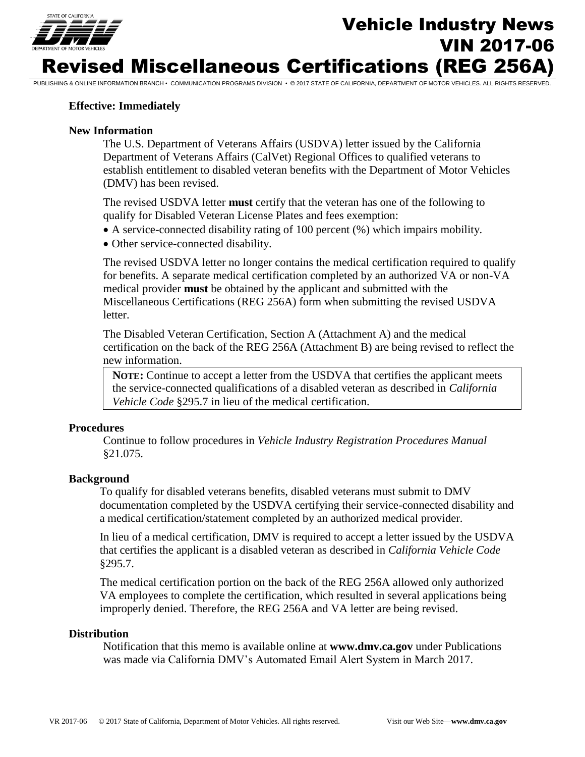

# Vehicle Industry News VIN 2017-06 Revised Miscellaneous Certifications (REG 256A)

PUBLISHING & ONLINE INFORMATION BRANCH • COMMUNICATION PROGRAMS DIVISION • © 2017 STATE OF CALIFORNIA, DEPARTMENT OF MOTOR VEHICLES. ALL RIGHTS RESERVED.

### **Effective: Immediately**

#### **New Information**

The U.S. Department of Veterans Affairs (USDVA) letter issued by the California Department of Veterans Affairs (CalVet) Regional Offices to qualified veterans to establish entitlement to disabled veteran benefits with the Department of Motor Vehicles (DMV) has been revised.

The revised USDVA letter **must** certify that the veteran has one of the following to qualify for Disabled Veteran License Plates and fees exemption:

- A service-connected disability rating of 100 percent (%) which impairs mobility.
- Other service-connected disability.

The revised USDVA letter no longer contains the medical certification required to qualify for benefits. A separate medical certification completed by an authorized VA or non-VA medical provider **must** be obtained by the applicant and submitted with the Miscellaneous Certifications (REG 256A) form when submitting the revised USDVA letter.

The Disabled Veteran Certification, Section A (Attachment A) and the medical certification on the back of the REG 256A (Attachment B) are being revised to reflect the new information.

**NOTE:** Continue to accept a letter from the USDVA that certifies the applicant meets the service-connected qualifications of a disabled veteran as described in *California Vehicle Code* §295.7 in lieu of the medical certification.

#### **Procedures**

Continue to follow procedures in *Vehicle Industry Registration Procedures Manual*  §21.075.

#### **Background**

To qualify for disabled veterans benefits, disabled veterans must submit to DMV documentation completed by the USDVA certifying their service-connected disability and a medical certification/statement completed by an authorized medical provider.

In lieu of a medical certification, DMV is required to accept a letter issued by the USDVA that certifies the applicant is a disabled veteran as described in *California Vehicle Code*  §295.7.

The medical certification portion on the back of the REG 256A allowed only authorized VA employees to complete the certification, which resulted in several applications being improperly denied. Therefore, the REG 256A and VA letter are being revised.

#### **Distribution**

Notification that this memo is available online at **www.dmv.ca.gov** under Publications was made via California DMV's Automated Email Alert System in March 2017.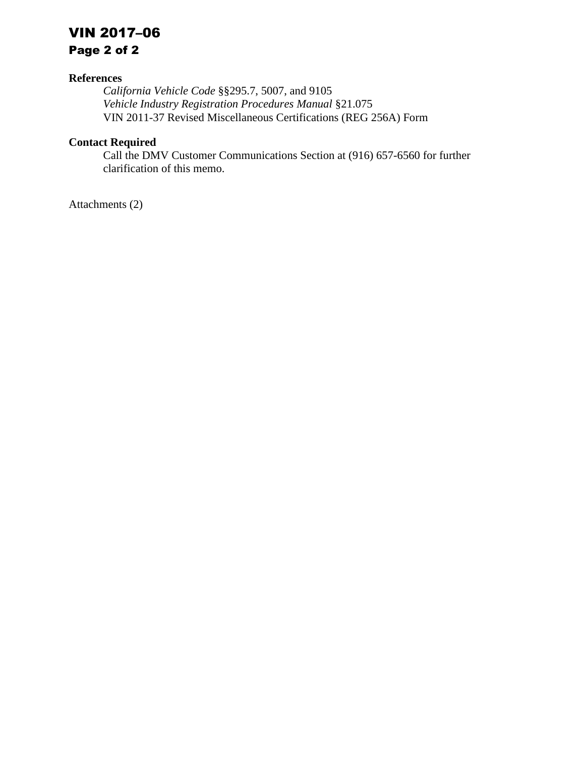# VIN 2017–06

Page 2 of 2

## **References**

*California Vehicle Code* §§295.7, 5007, and 9105 *Vehicle Industry Registration Procedures Manual* §21.075 VIN 2011-37 Revised Miscellaneous Certifications (REG 256A) Form

## **Contact Required**

Call the DMV Customer Communications Section at (916) 657-6560 for further clarification of this memo.

Attachments (2)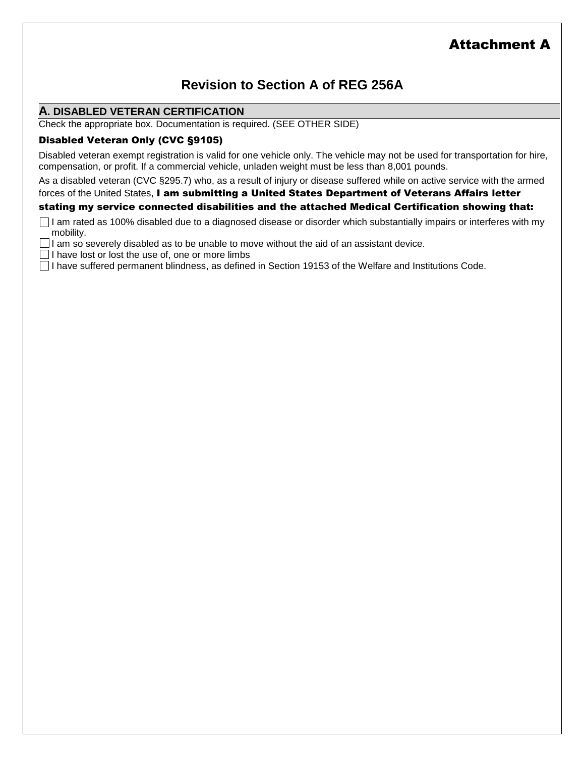# Attachment A

## **Revision to Section A of REG 256A**

## **A. DISABLED VETERAN CERTIFICATION**

Check the appropriate box. Documentation is required. (SEE OTHER SIDE)

## Disabled Veteran Only (CVC §9105)

Disabled veteran exempt registration is valid for one vehicle only. The vehicle may not be used for transportation for hire, compensation, or profit. If a commercial vehicle, unladen weight must be less than 8,001 pounds.

As a disabled veteran (CVC §295.7) who, as a result of injury or disease suffered while on active service with the armed

forces of the United States, I am submitting a United States Department of Veterans Affairs letter stating my service connected disabilities and the attached Medical Certification showing that:

□ I am rated as 100% disabled due to a diagnosed disease or disorder which substantially impairs or interferes with my mobility.

 $\Box$  I am so severely disabled as to be unable to move without the aid of an assistant device.

ᆸ!!  $\Box$  I have lost or lost the use of, one or more limbs

 $\Box$  I have suffered permanent blindness, as defined in Section 19153 of the Welfare and Institutions Code.